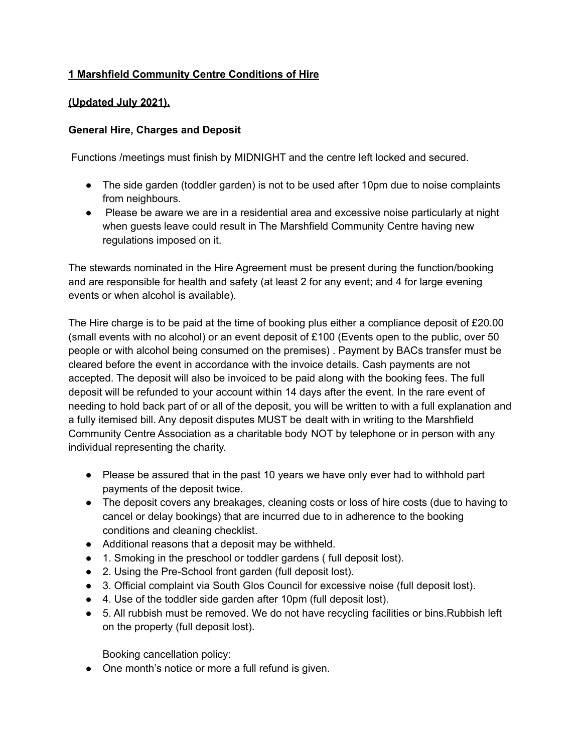# **1 Marshfield Community Centre Conditions of Hire**

#### **(Updated July 2021).**

#### **General Hire, Charges and Deposit**

Functions /meetings must finish by MIDNIGHT and the centre left locked and secured.

- The side garden (toddler garden) is not to be used after 10pm due to noise complaints from neighbours.
- Please be aware we are in a residential area and excessive noise particularly at night when guests leave could result in The Marshfield Community Centre having new regulations imposed on it.

The stewards nominated in the Hire Agreement must be present during the function/booking and are responsible for health and safety (at least 2 for any event; and 4 for large evening events or when alcohol is available).

The Hire charge is to be paid at the time of booking plus either a compliance deposit of £20.00 (small events with no alcohol) or an event deposit of £100 (Events open to the public, over 50 people or with alcohol being consumed on the premises) . Payment by BACs transfer must be cleared before the event in accordance with the invoice details. Cash payments are not accepted. The deposit will also be invoiced to be paid along with the booking fees. The full deposit will be refunded to your account within 14 days after the event. In the rare event of needing to hold back part of or all of the deposit, you will be written to with a full explanation and a fully itemised bill. Any deposit disputes MUST be dealt with in writing to the Marshfield Community Centre Association as a charitable body NOT by telephone or in person with any individual representing the charity.

- Please be assured that in the past 10 years we have only ever had to withhold part payments of the deposit twice.
- The deposit covers any breakages, cleaning costs or loss of hire costs (due to having to cancel or delay bookings) that are incurred due to in adherence to the booking conditions and cleaning checklist.
- Additional reasons that a deposit may be withheld.
- 1. Smoking in the preschool or toddler gardens ( full deposit lost).
- 2. Using the Pre-School front garden (full deposit lost).
- 3. Official complaint via South Glos Council for excessive noise (full deposit lost).
- 4. Use of the toddler side garden after 10pm (full deposit lost).
- 5. All rubbish must be removed. We do not have recycling facilities or bins.Rubbish left on the property (full deposit lost).

Booking cancellation policy:

• One month's notice or more a full refund is given.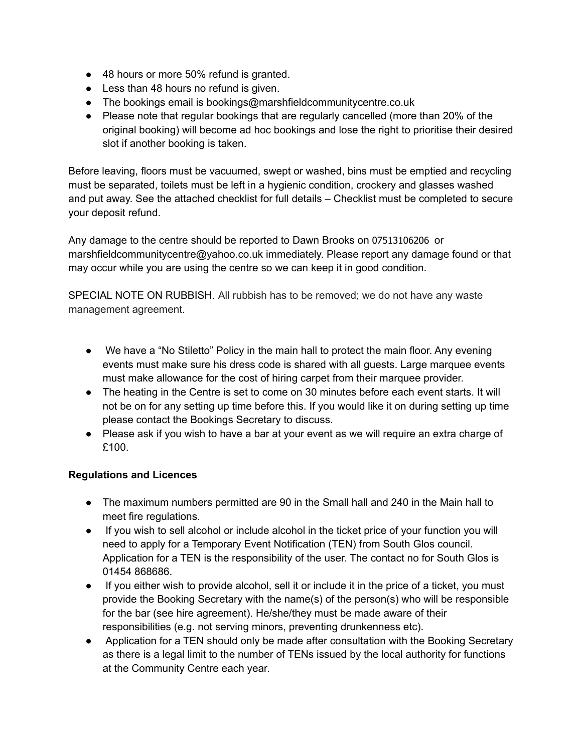- 48 hours or more 50% refund is granted.
- Less than 48 hours no refund is given.
- The bookings email is bookings@marshfieldcommunitycentre.co.uk
- Please note that regular bookings that are regularly cancelled (more than 20% of the original booking) will become ad hoc bookings and lose the right to prioritise their desired slot if another booking is taken.

Before leaving, floors must be vacuumed, swept or washed, bins must be emptied and recycling must be separated, toilets must be left in a hygienic condition, crockery and glasses washed and put away. See the attached checklist for full details – Checklist must be completed to secure your deposit refund.

Any damage to the centre should be reported to Dawn Brooks on 07513106206 or marshfieldcommunitycentre@yahoo.co.uk immediately. Please report any damage found or that may occur while you are using the centre so we can keep it in good condition.

SPECIAL NOTE ON RUBBISH. All rubbish has to be removed; we do not have any waste management agreement.

- We have a "No Stiletto" Policy in the main hall to protect the main floor. Any evening events must make sure his dress code is shared with all guests. Large marquee events must make allowance for the cost of hiring carpet from their marquee provider.
- The heating in the Centre is set to come on 30 minutes before each event starts. It will not be on for any setting up time before this. If you would like it on during setting up time please contact the Bookings Secretary to discuss.
- Please ask if you wish to have a bar at your event as we will require an extra charge of £100.

### **Regulations and Licences**

- The maximum numbers permitted are 90 in the Small hall and 240 in the Main hall to meet fire regulations.
- If you wish to sell alcohol or include alcohol in the ticket price of your function you will need to apply for a Temporary Event Notification (TEN) from South Glos council. Application for a TEN is the responsibility of the user. The contact no for South Glos is 01454 868686.
- If you either wish to provide alcohol, sell it or include it in the price of a ticket, you must provide the Booking Secretary with the name(s) of the person(s) who will be responsible for the bar (see hire agreement). He/she/they must be made aware of their responsibilities (e.g. not serving minors, preventing drunkenness etc).
- Application for a TEN should only be made after consultation with the Booking Secretary as there is a legal limit to the number of TENs issued by the local authority for functions at the Community Centre each year.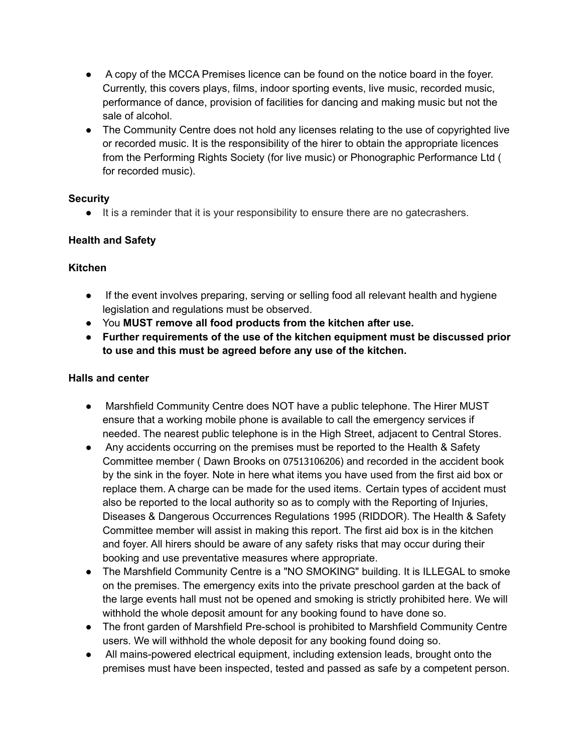- A copy of the MCCA Premises licence can be found on the notice board in the foyer. Currently, this covers plays, films, indoor sporting events, live music, recorded music, performance of dance, provision of facilities for dancing and making music but not the sale of alcohol.
- The Community Centre does not hold any licenses relating to the use of copyrighted live or recorded music. It is the responsibility of the hirer to obtain the appropriate licences from the Performing Rights Society (for live music) or Phonographic Performance Ltd ( for recorded music).

### **Security**

● It is a reminder that it is your responsibility to ensure there are no gatecrashers.

# **Health and Safety**

### **Kitchen**

- If the event involves preparing, serving or selling food all relevant health and hygiene legislation and regulations must be observed.
- You **MUST remove all food products from the kitchen after use.**
- **● Further requirements of the use of the kitchen equipment must be discussed prior to use and this must be agreed before any use of the kitchen.**

## **Halls and center**

- Marshfield Community Centre does NOT have a public telephone. The Hirer MUST ensure that a working mobile phone is available to call the emergency services if needed. The nearest public telephone is in the High Street, adjacent to Central Stores.
- Any accidents occurring on the premises must be reported to the Health & Safety Committee member ( Dawn Brooks on 07513106206) and recorded in the accident book by the sink in the foyer. Note in here what items you have used from the first aid box or replace them. A charge can be made for the used items. Certain types of accident must also be reported to the local authority so as to comply with the Reporting of Injuries, Diseases & Dangerous Occurrences Regulations 1995 (RIDDOR). The Health & Safety Committee member will assist in making this report. The first aid box is in the kitchen and foyer. All hirers should be aware of any safety risks that may occur during their booking and use preventative measures where appropriate.
- The Marshfield Community Centre is a "NO SMOKING" building. It is ILLEGAL to smoke on the premises. The emergency exits into the private preschool garden at the back of the large events hall must not be opened and smoking is strictly prohibited here. We will withhold the whole deposit amount for any booking found to have done so.
- The front garden of Marshfield Pre-school is prohibited to Marshfield Community Centre users. We will withhold the whole deposit for any booking found doing so.
- All mains-powered electrical equipment, including extension leads, brought onto the premises must have been inspected, tested and passed as safe by a competent person.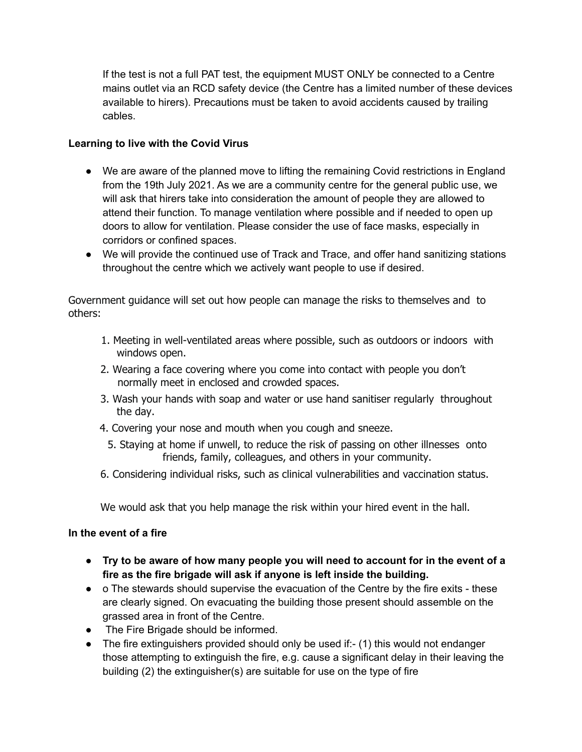If the test is not a full PAT test, the equipment MUST ONLY be connected to a Centre mains outlet via an RCD safety device (the Centre has a limited number of these devices available to hirers). Precautions must be taken to avoid accidents caused by trailing cables.

### **Learning to live with the Covid Virus**

- We are aware of the planned move to lifting the remaining Covid restrictions in England from the 19th July 2021. As we are a community centre for the general public use, we will ask that hirers take into consideration the amount of people they are allowed to attend their function. To manage ventilation where possible and if needed to open up doors to allow for ventilation. Please consider the use of face masks, especially in corridors or confined spaces.
- We will provide the continued use of Track and Trace, and offer hand sanitizing stations throughout the centre which we actively want people to use if desired.

Government guidance will set out how people can manage the risks to themselves and to others:

- 1. Meeting in well-ventilated areas where possible, such as outdoors or indoors with windows open.
- 2. Wearing a face covering where you come into contact with people you don't normally meet in enclosed and crowded spaces.
- 3. Wash your hands with soap and water or use hand sanitiser regularly throughout the day.
- 4. Covering your nose and mouth when you cough and sneeze.
	- 5. Staying at home if unwell, to reduce the risk of passing on other illnesses onto friends, family, colleagues, and others in your community.
- 6. Considering individual risks, such as clinical vulnerabilities and vaccination status.

We would ask that you help manage the risk within your hired event in the hall.

### **In the event of a fire**

- **Try to be aware of how many people you will need to account for in the event of a fire as the fire brigade will ask if anyone is left inside the building.**
- o The stewards should supervise the evacuation of the Centre by the fire exits these are clearly signed. On evacuating the building those present should assemble on the grassed area in front of the Centre.
- The Fire Brigade should be informed.
- The fire extinguishers provided should only be used if:- (1) this would not endanger those attempting to extinguish the fire, e.g. cause a significant delay in their leaving the building (2) the extinguisher(s) are suitable for use on the type of fire